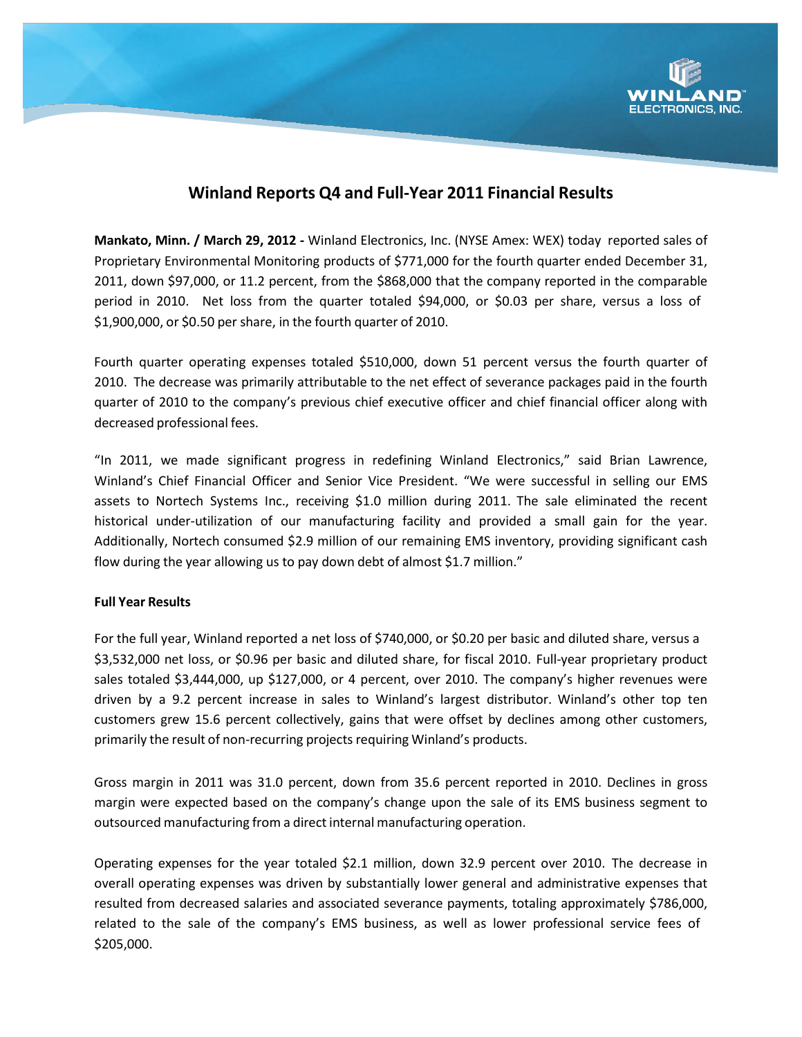

# **Winland Reports Q4 and Full‐Year 2011 Financial Results**

**Mankato, Minn. / March 29, 2012 ‐** Winland Electronics, Inc. (NYSE Amex: WEX) today reported sales of Proprietary Environmental Monitoring products of \$771,000 for the fourth quarter ended December 31, 2011, down \$97,000, or 11.2 percent, from the \$868,000 that the company reported in the comparable period in 2010. Net loss from the quarter totaled \$94,000, or \$0.03 per share, versus a loss of \$1,900,000, or \$0.50 per share, in the fourth quarter of 2010.

Fourth quarter operating expenses totaled \$510,000, down 51 percent versus the fourth quarter of 2010. The decrease was primarily attributable to the net effect of severance packages paid in the fourth quarter of 2010 to the company's previous chief executive officer and chief financial officer along with decreased professional fees.

"In 2011, we made significant progress in redefining Winland Electronics," said Brian Lawrence, Winland's Chief Financial Officer and Senior Vice President. "We were successful in selling our EMS assets to Nortech Systems Inc., receiving \$1.0 million during 2011. The sale eliminated the recent historical under-utilization of our manufacturing facility and provided a small gain for the year. Additionally, Nortech consumed \$2.9 million of our remaining EMS inventory, providing significant cash flow during the year allowing us to pay down debt of almost \$1.7 million."

#### **Full Year Results**

For the full year, Winland reported a net loss of \$740,000, or \$0.20 per basic and diluted share, versus a \$3,532,000 net loss, or \$0.96 per basic and diluted share, for fiscal 2010. Full‐year proprietary product sales totaled \$3,444,000, up \$127,000, or 4 percent, over 2010. The company's higher revenues were driven by a 9.2 percent increase in sales to Winland's largest distributor. Winland's other top ten customers grew 15.6 percent collectively, gains that were offset by declines among other customers, primarily the result of non‐recurring projects requiring Winland's products.

Gross margin in 2011 was 31.0 percent, down from 35.6 percent reported in 2010. Declines in gross margin were expected based on the company's change upon the sale of its EMS business segment to outsourced manufacturing from a direct internal manufacturing operation.

Operating expenses for the year totaled \$2.1 million, down 32.9 percent over 2010. The decrease in overall operating expenses was driven by substantially lower general and administrative expenses that resulted from decreased salaries and associated severance payments, totaling approximately \$786,000, related to the sale of the company's EMS business, as well as lower professional service fees of \$205,000.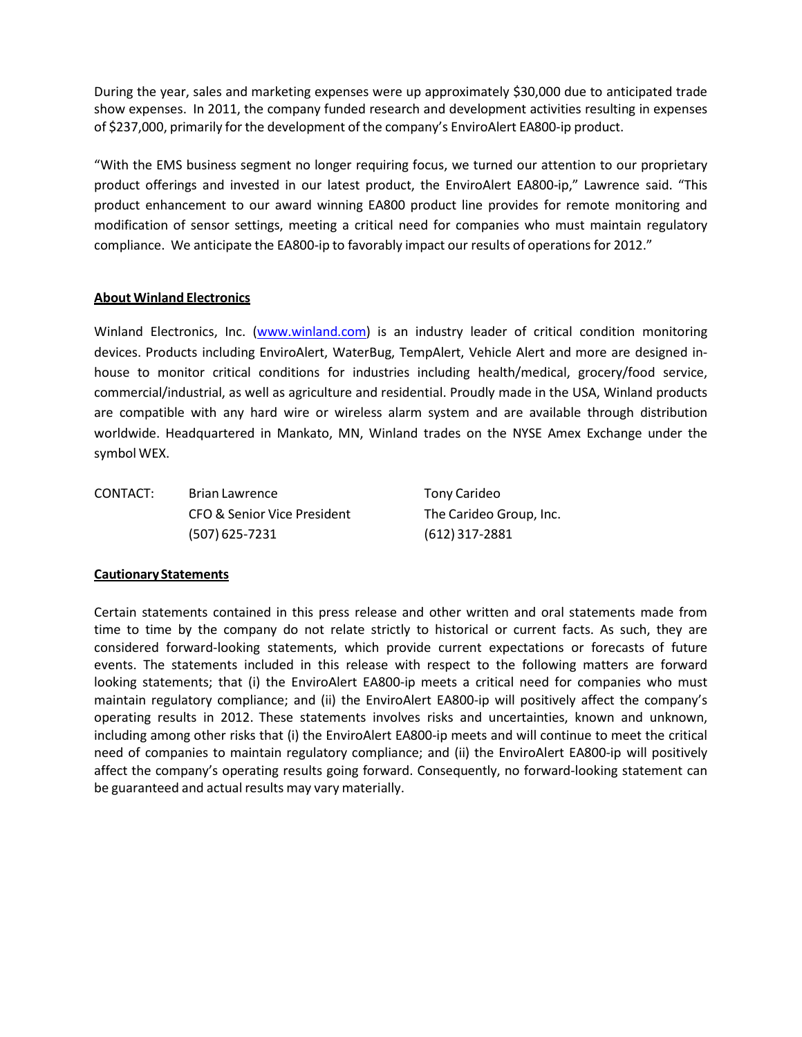During the year, sales and marketing expenses were up approximately \$30,000 due to anticipated trade show expenses. In 2011, the company funded research and development activities resulting in expenses of \$237,000, primarily for the development of the company's EnviroAlert EA800‐ip product.

"With the EMS business segment no longer requiring focus, we turned our attention to our proprietary product offerings and invested in our latest product, the EnviroAlert EA800‐ip," Lawrence said. "This product enhancement to our award winning EA800 product line provides for remote monitoring and modification of sensor settings, meeting a critical need for companies who must maintain regulatory compliance. We anticipate the EA800‐ip to favorably impact our results of operations for 2012."

## **About Winland Electronics**

Winland Electronics, Inc. (www.winland.com) is an industry leader of critical condition monitoring devices. Products including EnviroAlert, WaterBug, TempAlert, Vehicle Alert and more are designed in‐ house to monitor critical conditions for industries including health/medical, grocery/food service, commercial/industrial, as well as agriculture and residential. Proudly made in the USA, Winland products are compatible with any hard wire or wireless alarm system and are available through distribution worldwide. Headquartered in Mankato, MN, Winland trades on the NYSE Amex Exchange under the symbol WEX.

CONTACT: Brian Lawrence Tony Carideo CFO & Senior Vice President The Carideo Group, Inc. (507) 625‐7231 (612) 317‐2881

#### **Cautionary Statements**

Certain statements contained in this press release and other written and oral statements made from time to time by the company do not relate strictly to historical or current facts. As such, they are considered forward‐looking statements, which provide current expectations or forecasts of future events. The statements included in this release with respect to the following matters are forward looking statements; that (i) the EnviroAlert EA800-ip meets a critical need for companies who must maintain regulatory compliance; and (ii) the EnviroAlert EA800‐ip will positively affect the company's operating results in 2012. These statements involves risks and uncertainties, known and unknown, including among other risks that (i) the EnviroAlert EA800‐ip meets and will continue to meet the critical need of companies to maintain regulatory compliance; and (ii) the EnviroAlert EA800‐ip will positively affect the company's operating results going forward. Consequently, no forward‐looking statement can be guaranteed and actual results may vary materially.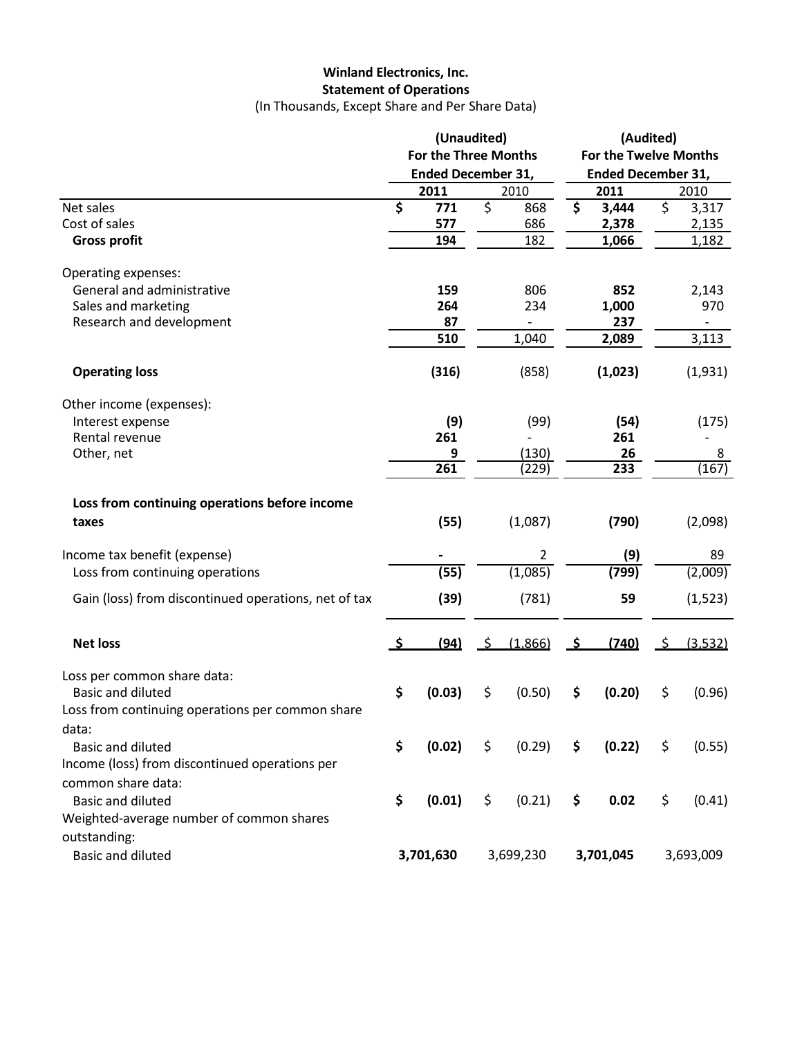# **Winland Electronics, Inc. Statement of Operations**

(In Thousands, Except Share and Per Share Data)

|                                                      | (Unaudited)<br><b>For the Three Months</b><br><b>Ended December 31,</b> |                  |    | (Audited)<br>For the Twelve Months<br><b>Ended December 31,</b> |            |                  |            |                |
|------------------------------------------------------|-------------------------------------------------------------------------|------------------|----|-----------------------------------------------------------------|------------|------------------|------------|----------------|
|                                                      |                                                                         |                  |    |                                                                 |            |                  |            |                |
|                                                      |                                                                         | 2011             |    | 2010                                                            |            | 2011             |            | 2010           |
| Net sales<br>Cost of sales                           | \$                                                                      | 771<br>577       | \$ | 868<br>686                                                      | \$         | 3,444<br>2,378   | \$         | 3,317<br>2,135 |
| <b>Gross profit</b>                                  |                                                                         | 194              |    | 182                                                             |            | 1,066            |            | 1,182          |
| Operating expenses:                                  |                                                                         |                  |    |                                                                 |            |                  |            |                |
| General and administrative                           |                                                                         | 159              |    | 806                                                             |            | 852              |            | 2,143          |
| Sales and marketing                                  |                                                                         | 264              |    | 234                                                             |            | 1,000            |            | 970            |
| Research and development                             |                                                                         | 87               |    | $\overline{\phantom{0}}$                                        |            | 237              |            |                |
|                                                      |                                                                         | 510              |    | 1,040                                                           |            | 2,089            |            | 3,113          |
| <b>Operating loss</b>                                |                                                                         | (316)            |    | (858)                                                           |            | (1,023)          |            | (1,931)        |
| Other income (expenses):                             |                                                                         |                  |    |                                                                 |            |                  |            |                |
| Interest expense                                     |                                                                         | (9)              |    | (99)                                                            |            | (54)             |            | (175)          |
| Rental revenue                                       |                                                                         | 261              |    |                                                                 |            | 261              |            |                |
| Other, net                                           |                                                                         | 9                |    | (130)                                                           |            | 26               |            | 8              |
|                                                      |                                                                         | $\overline{261}$ |    | (229)                                                           |            | $\overline{233}$ |            | (167)          |
| Loss from continuing operations before income        |                                                                         |                  |    |                                                                 |            |                  |            |                |
| taxes                                                |                                                                         | (55)             |    | (1,087)                                                         |            | (790)            |            | (2,098)        |
| Income tax benefit (expense)                         |                                                                         |                  |    | $\overline{2}$                                                  |            | (9)              |            | 89             |
| Loss from continuing operations                      |                                                                         | (55)             |    | (1,085)                                                         |            | (799)            |            | (2,009)        |
| Gain (loss) from discontinued operations, net of tax |                                                                         | (39)             |    | (781)                                                           |            | 59               |            | (1, 523)       |
| <b>Net loss</b>                                      | S.                                                                      | (94)             | -S | (1,866)                                                         | <u>_\$</u> | (740)            | <u>_\$</u> | (3,532)        |
| Loss per common share data:                          |                                                                         |                  |    |                                                                 |            |                  |            |                |
| <b>Basic and diluted</b>                             | \$                                                                      | (0.03)           | \$ | (0.50)                                                          | \$         | (0.20)           | \$         | (0.96)         |
| Loss from continuing operations per common share     |                                                                         |                  |    |                                                                 |            |                  |            |                |
| data:                                                |                                                                         |                  |    |                                                                 |            |                  |            |                |
| <b>Basic and diluted</b>                             | \$                                                                      | (0.02)           | \$ | (0.29)                                                          | \$         | (0.22)           | \$         | (0.55)         |
| Income (loss) from discontinued operations per       |                                                                         |                  |    |                                                                 |            |                  |            |                |
| common share data:                                   |                                                                         |                  |    |                                                                 |            |                  |            |                |
| <b>Basic and diluted</b>                             | \$                                                                      | (0.01)           | \$ | (0.21)                                                          | \$         | 0.02             | \$         | (0.41)         |
| Weighted-average number of common shares             |                                                                         |                  |    |                                                                 |            |                  |            |                |
| outstanding:                                         |                                                                         |                  |    |                                                                 |            |                  |            |                |
| <b>Basic and diluted</b>                             |                                                                         | 3,701,630        |    | 3,699,230                                                       |            | 3,701,045        |            | 3,693,009      |
|                                                      |                                                                         |                  |    |                                                                 |            |                  |            |                |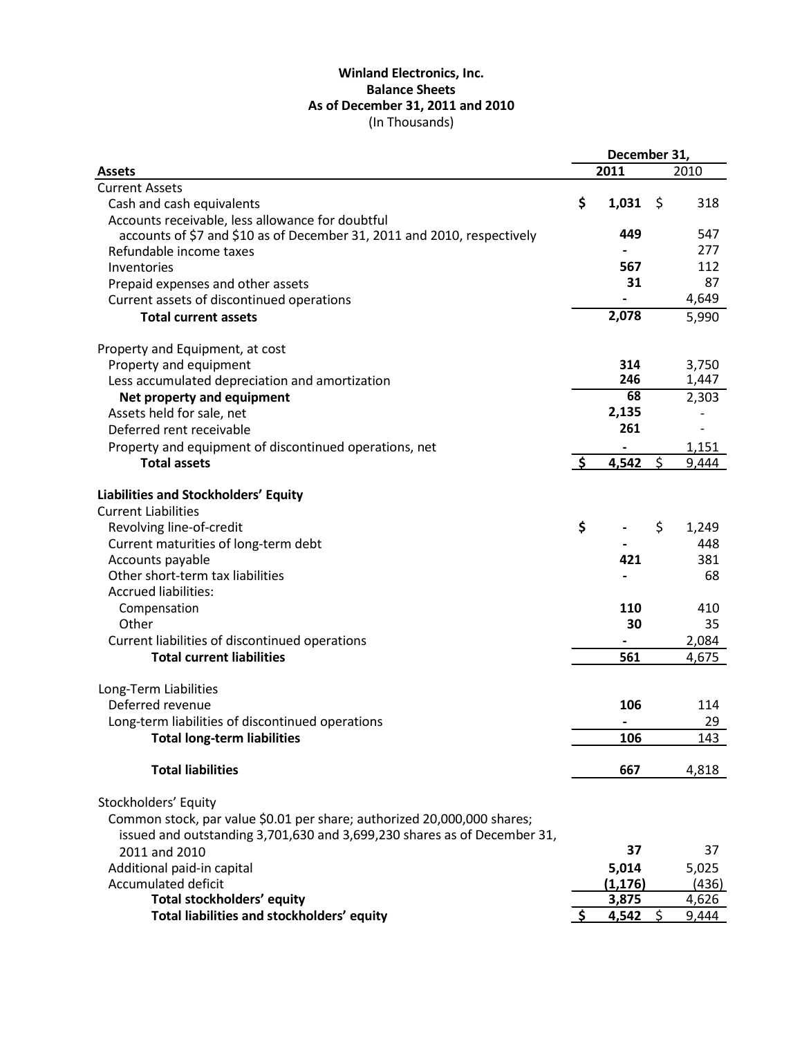## **Winland Electronics, Inc. Balance Sheets As of December 31, 2011 and 2010** (In Thousands)

|                                                                          |                    | December 31, |      |       |
|--------------------------------------------------------------------------|--------------------|--------------|------|-------|
| <b>Assets</b>                                                            |                    | 2011         |      | 2010  |
| <b>Current Assets</b>                                                    |                    |              |      |       |
| Cash and cash equivalents                                                | \$                 | 1,031        | -\$  | 318   |
| Accounts receivable, less allowance for doubtful                         |                    |              |      |       |
| accounts of \$7 and \$10 as of December 31, 2011 and 2010, respectively  |                    | 449          |      | 547   |
| Refundable income taxes                                                  |                    |              |      | 277   |
| Inventories                                                              |                    | 567          |      | 112   |
| Prepaid expenses and other assets                                        |                    | 31           |      | 87    |
| Current assets of discontinued operations                                |                    |              |      | 4,649 |
|                                                                          |                    | 2,078        |      |       |
| <b>Total current assets</b>                                              |                    |              |      | 5,990 |
| Property and Equipment, at cost                                          |                    |              |      |       |
| Property and equipment                                                   |                    | 314          |      | 3,750 |
| Less accumulated depreciation and amortization                           |                    | 246          |      | 1,447 |
| Net property and equipment                                               |                    | 68           |      | 2,303 |
| Assets held for sale, net                                                |                    | 2,135        |      |       |
| Deferred rent receivable                                                 |                    | 261          |      |       |
| Property and equipment of discontinued operations, net                   |                    |              |      | 1,151 |
| <b>Total assets</b>                                                      | $\mathsf{\hat{S}}$ | 4,542        | Ś    | 9,444 |
|                                                                          |                    |              |      |       |
| Liabilities and Stockholders' Equity                                     |                    |              |      |       |
| <b>Current Liabilities</b>                                               |                    |              |      |       |
| Revolving line-of-credit                                                 | \$                 |              | \$   | 1,249 |
| Current maturities of long-term debt                                     |                    |              |      | 448   |
| Accounts payable                                                         |                    | 421          |      | 381   |
| Other short-term tax liabilities                                         |                    |              |      | 68    |
| <b>Accrued liabilities:</b>                                              |                    |              |      |       |
| Compensation                                                             |                    | 110          |      | 410   |
| Other                                                                    |                    | 30           |      | 35    |
| Current liabilities of discontinued operations                           |                    |              |      | 2,084 |
| <b>Total current liabilities</b>                                         |                    | 561          |      | 4,675 |
|                                                                          |                    |              |      |       |
| Long-Term Liabilities                                                    |                    |              |      |       |
| Deferred revenue                                                         |                    | 106          |      | 114   |
| Long-term liabilities of discontinued operations                         |                    |              |      | 29    |
| <b>Total long-term liabilities</b>                                       |                    | 106          |      | 143   |
| <b>Total liabilities</b>                                                 |                    | 667          |      | 4,818 |
| Stockholders' Equity                                                     |                    |              |      |       |
| Common stock, par value \$0.01 per share; authorized 20,000,000 shares;  |                    |              |      |       |
| issued and outstanding 3,701,630 and 3,699,230 shares as of December 31, |                    |              |      |       |
| 2011 and 2010                                                            |                    | 37           |      | 37    |
|                                                                          |                    |              |      |       |
| Additional paid-in capital                                               |                    | 5,014        |      | 5,025 |
| Accumulated deficit                                                      |                    | (1, 176)     |      | (436) |
| Total stockholders' equity                                               |                    | 3,875        |      | 4,626 |
| Total liabilities and stockholders' equity                               |                    | 4,542        | - \$ | 9,444 |